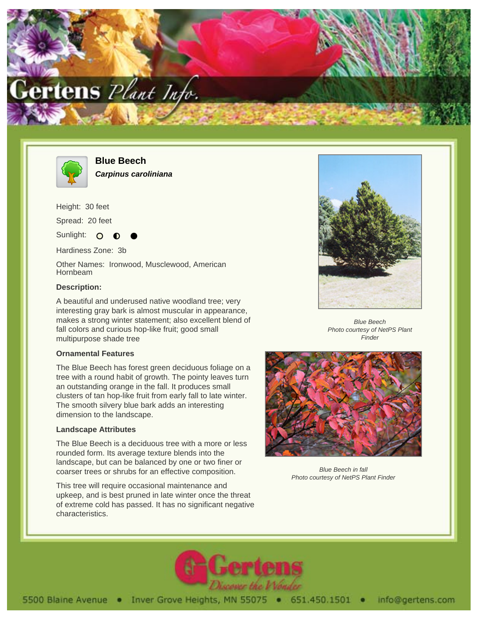



**Blue Beech Carpinus caroliniana**

Height: 30 feet

Spread: 20 feet

Sunlight: O

Hardiness Zone: 3b

Other Names: Ironwood, Musclewood, American Hornbeam

## **Description:**

A beautiful and underused native woodland tree; very interesting gray bark is almost muscular in appearance, makes a strong winter statement; also excellent blend of fall colors and curious hop-like fruit; good small multipurpose shade tree

## **Ornamental Features**

The Blue Beech has forest green deciduous foliage on a tree with a round habit of growth. The pointy leaves turn an outstanding orange in the fall. It produces small clusters of tan hop-like fruit from early fall to late winter. The smooth silvery blue bark adds an interesting dimension to the landscape.

## **Landscape Attributes**

The Blue Beech is a deciduous tree with a more or less rounded form. Its average texture blends into the landscape, but can be balanced by one or two finer or coarser trees or shrubs for an effective composition.

This tree will require occasional maintenance and upkeep, and is best pruned in late winter once the threat of extreme cold has passed. It has no significant negative characteristics.



Blue Beech Photo courtesy of NetPS Plant **Finder** 



Blue Beech in fall Photo courtesy of NetPS Plant Finder